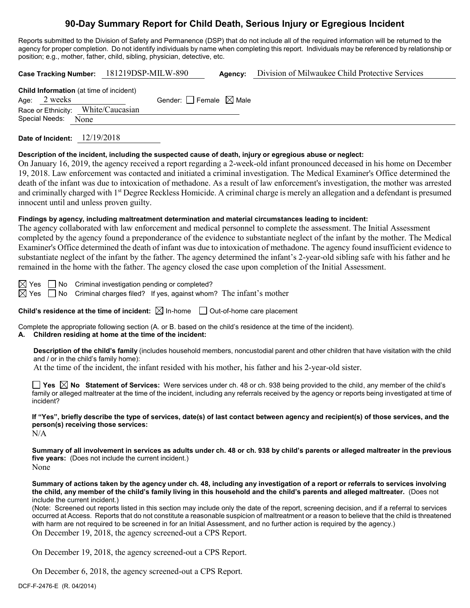# **90-Day Summary Report for Child Death, Serious Injury or Egregious Incident**

Reports submitted to the Division of Safety and Permanence (DSP) that do not include all of the required information will be returned to the agency for proper completion. Do not identify individuals by name when completing this report. Individuals may be referenced by relationship or position; e.g., mother, father, child, sibling, physician, detective, etc.

**Case Tracking Number:** 181219DSP-MILW-890 **Agency:** Division of Milwaukee Child Protective Services

| <b>Child Information</b> (at time of incident) |                     |                                    |                                        |  |  |  |  |
|------------------------------------------------|---------------------|------------------------------------|----------------------------------------|--|--|--|--|
|                                                | Age: 2 weeks        |                                    | Gender: $\Box$ Female $\boxtimes$ Male |  |  |  |  |
|                                                |                     | Race or Ethnicity: White/Caucasian |                                        |  |  |  |  |
|                                                | Special Needs: None |                                    |                                        |  |  |  |  |

**Date of Incident:** 12/19/2018

# **Description of the incident, including the suspected cause of death, injury or egregious abuse or neglect:**

On January 16, 2019, the agency received a report regarding a 2-week-old infant pronounced deceased in his home on December 19, 2018. Law enforcement was contacted and initiated a criminal investigation. The Medical Examiner's Office determined the death of the infant was due to intoxication of methadone. As a result of law enforcement's investigation, the mother was arrested and criminally charged with 1st Degree Reckless Homicide. A criminal charge is merely an allegation and a defendant is presumed innocent until and unless proven guilty.

# **Findings by agency, including maltreatment determination and material circumstances leading to incident:**

The agency collaborated with law enforcement and medical personnel to complete the assessment. The Initial Assessment completed by the agency found a preponderance of the evidence to substantiate neglect of the infant by the mother. The Medical Examiner's Office determined the death of infant was due to intoxication of methadone. The agency found insufficient evidence to substantiate neglect of the infant by the father. The agency determined the infant's 2-year-old sibling safe with his father and he remained in the home with the father. The agency closed the case upon completion of the Initial Assessment.

 $\boxtimes$  Yes  $\Box$  No Criminal investigation pending or completed?

 $\boxtimes$  Yes  $\Box$  No Criminal charges filed? If yes, against whom? The infant's mother

**Child's residence at the time of incident:**  $\boxtimes$  In-home  $\Box$  Out-of-home care placement

Complete the appropriate following section (A. or B. based on the child's residence at the time of the incident).

#### **A. Children residing at home at the time of the incident:**

**Description of the child's family** (includes household members, noncustodial parent and other children that have visitation with the child and / or in the child's family home):

At the time of the incident, the infant resided with his mother, his father and his 2-year-old sister.

**Yes No Statement of Services:** Were services under ch. 48 or ch. 938 being provided to the child, any member of the child's family or alleged maltreater at the time of the incident, including any referrals received by the agency or reports being investigated at time of incident?

**If "Yes", briefly describe the type of services, date(s) of last contact between agency and recipient(s) of those services, and the person(s) receiving those services:**

N/A

**Summary of all involvement in services as adults under ch. 48 or ch. 938 by child's parents or alleged maltreater in the previous five years:** (Does not include the current incident.) None

**Summary of actions taken by the agency under ch. 48, including any investigation of a report or referrals to services involving the child, any member of the child's family living in this household and the child's parents and alleged maltreater.** (Does not include the current incident.)

(Note: Screened out reports listed in this section may include only the date of the report, screening decision, and if a referral to services occurred at Access. Reports that do not constitute a reasonable suspicion of maltreatment or a reason to believe that the child is threatened with harm are not required to be screened in for an Initial Assessment, and no further action is required by the agency.) On December 19, 2018, the agency screened-out a CPS Report.

On December 19, 2018, the agency screened-out a CPS Report.

On December 6, 2018, the agency screened-out a CPS Report.